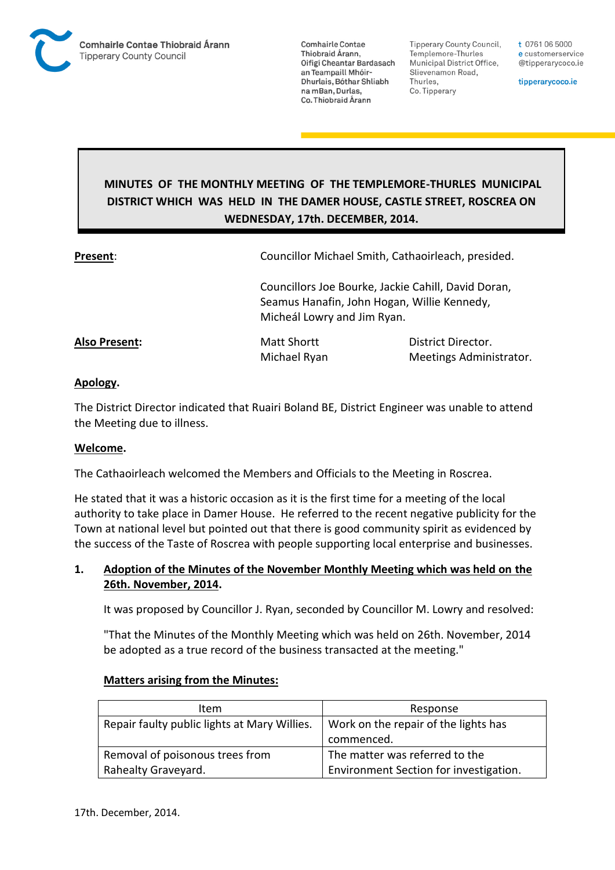

**Tipperary County Council,** Templemore-Thurles Municipal District Office, Slievenamon Road, Thurles, Co. Tipperary

t 0761 06 5000 e customerservice @tipperarycoco.ie

tipperarycoco.ie

# **MINUTES OF THE MONTHLY MEETING OF THE TEMPLEMORE-THURLES MUNICIPAL DISTRICT WHICH WAS HELD IN THE DAMER HOUSE, CASTLE STREET, ROSCREA ON WEDNESDAY, 17th. DECEMBER, 2014.**

| Present:      | Councillor Michael Smith, Cathaoirleach, presided.                                                                                |                                               |  |
|---------------|-----------------------------------------------------------------------------------------------------------------------------------|-----------------------------------------------|--|
|               | Councillors Joe Bourke, Jackie Cahill, David Doran,<br>Seamus Hanafin, John Hogan, Willie Kennedy,<br>Micheál Lowry and Jim Ryan. |                                               |  |
| Also Present: | <b>Matt Shortt</b><br>Michael Ryan                                                                                                | District Director.<br>Meetings Administrator. |  |

### **Apology.**

The District Director indicated that Ruairi Boland BE, District Engineer was unable to attend the Meeting due to illness.

#### **Welcome.**

The Cathaoirleach welcomed the Members and Officials to the Meeting in Roscrea.

He stated that it was a historic occasion as it is the first time for a meeting of the local authority to take place in Damer House. He referred to the recent negative publicity for the Town at national level but pointed out that there is good community spirit as evidenced by the success of the Taste of Roscrea with people supporting local enterprise and businesses.

### **1. Adoption of the Minutes of the November Monthly Meeting which was held on the 26th. November, 2014.**

It was proposed by Councillor J. Ryan, seconded by Councillor M. Lowry and resolved:

"That the Minutes of the Monthly Meeting which was held on 26th. November, 2014 be adopted as a true record of the business transacted at the meeting."

| <b>Matters arising from the Minutes:</b> |
|------------------------------------------|
|------------------------------------------|

| Item                                         | Response                               |
|----------------------------------------------|----------------------------------------|
| Repair faulty public lights at Mary Willies. | Work on the repair of the lights has   |
|                                              | commenced.                             |
| Removal of poisonous trees from              | The matter was referred to the         |
| Rahealty Graveyard.                          | Environment Section for investigation. |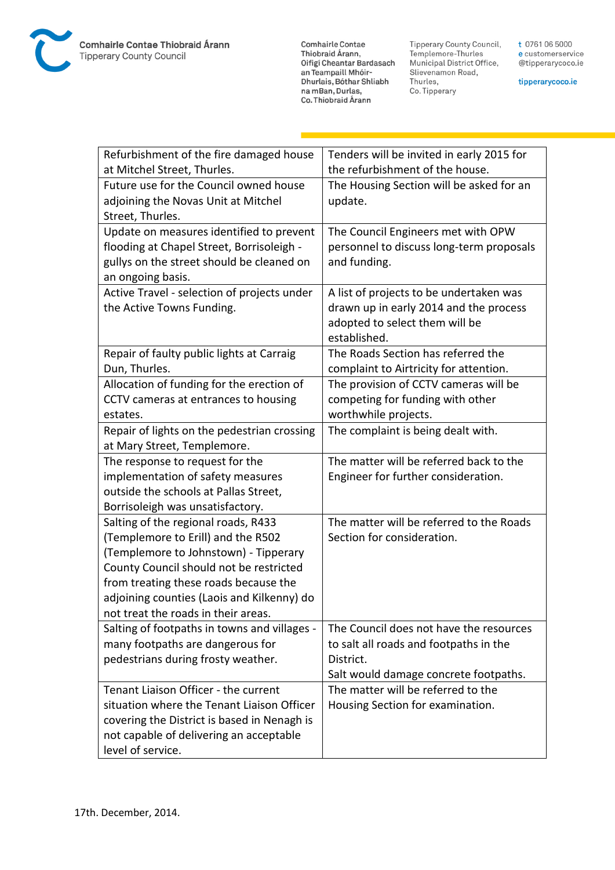**Comhairle Contae** Commante Contae<br>Thiobraid Árann,<br>Oifigí Cheantar Bardasach an Teampaill Mhóir-Dhurlais, Bóthar Shliabh na mBan, Durlas,<br>Co. Thiobraid Árann

Tipperary County Council,<br>Templemore-Thurles<br>Municipal District Office, Slievenamon Road, Thurles, Co. Tipperary

t 0761 06 5000 e customerservice @tipperarycoco.ie

tipperarycoco.ie

| Refurbishment of the fire damaged house      | Tenders will be invited in early 2015 for |
|----------------------------------------------|-------------------------------------------|
| at Mitchel Street, Thurles.                  | the refurbishment of the house.           |
| Future use for the Council owned house       | The Housing Section will be asked for an  |
| adjoining the Novas Unit at Mitchel          | update.                                   |
| Street, Thurles.                             |                                           |
| Update on measures identified to prevent     | The Council Engineers met with OPW        |
| flooding at Chapel Street, Borrisoleigh -    | personnel to discuss long-term proposals  |
| gullys on the street should be cleaned on    | and funding.                              |
| an ongoing basis.                            |                                           |
| Active Travel - selection of projects under  | A list of projects to be undertaken was   |
| the Active Towns Funding.                    | drawn up in early 2014 and the process    |
|                                              | adopted to select them will be            |
|                                              | established.                              |
| Repair of faulty public lights at Carraig    | The Roads Section has referred the        |
| Dun, Thurles.                                | complaint to Airtricity for attention.    |
| Allocation of funding for the erection of    | The provision of CCTV cameras will be     |
| CCTV cameras at entrances to housing         | competing for funding with other          |
| estates.                                     | worthwhile projects.                      |
| Repair of lights on the pedestrian crossing  | The complaint is being dealt with.        |
| at Mary Street, Templemore.                  |                                           |
| The response to request for the              | The matter will be referred back to the   |
| implementation of safety measures            | Engineer for further consideration.       |
| outside the schools at Pallas Street,        |                                           |
| Borrisoleigh was unsatisfactory.             |                                           |
| Salting of the regional roads, R433          | The matter will be referred to the Roads  |
| (Templemore to Erill) and the R502           | Section for consideration.                |
| (Templemore to Johnstown) - Tipperary        |                                           |
| County Council should not be restricted      |                                           |
| from treating these roads because the        |                                           |
| adjoining counties (Laois and Kilkenny) do   |                                           |
| not treat the roads in their areas.          |                                           |
| Salting of footpaths in towns and villages - | The Council does not have the resources   |
| many footpaths are dangerous for             | to salt all roads and footpaths in the    |
| pedestrians during frosty weather.           | District.                                 |
|                                              | Salt would damage concrete footpaths.     |
| Tenant Liaison Officer - the current         | The matter will be referred to the        |
| situation where the Tenant Liaison Officer   | Housing Section for examination.          |
| covering the District is based in Nenagh is  |                                           |
| not capable of delivering an acceptable      |                                           |
| level of service.                            |                                           |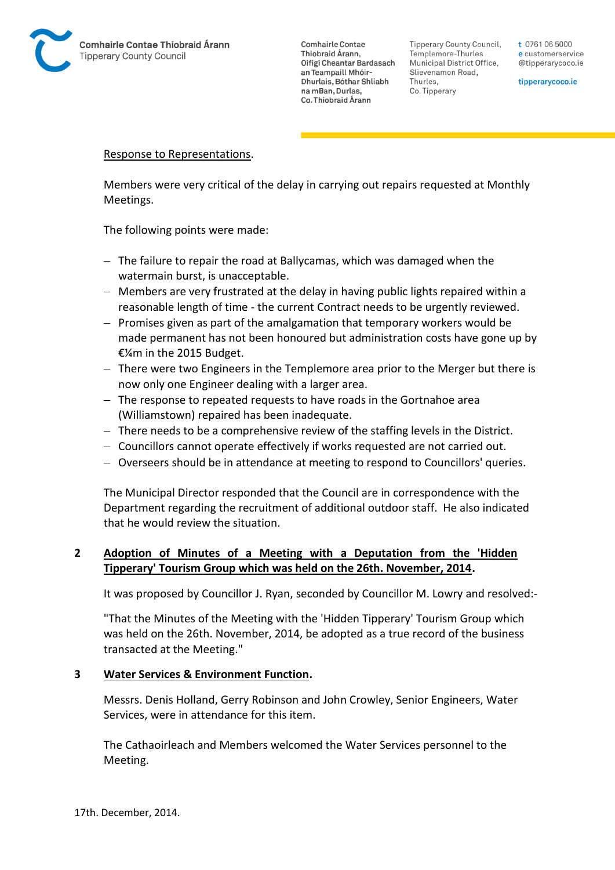

Tipperary County Council. Templemore-Thurles Municipal District Office, Slievenamon Road, Thurles, Co. Tipperary

t 0761 06 5000 e customerservice @tipperarycoco.ie

tipperarycoco.ie

### Response to Representations.

Members were very critical of the delay in carrying out repairs requested at Monthly Meetings.

The following points were made:

- The failure to repair the road at Ballycamas, which was damaged when the watermain burst, is unacceptable.
- Members are very frustrated at the delay in having public lights repaired within a reasonable length of time - the current Contract needs to be urgently reviewed.
- $-$  Promises given as part of the amalgamation that temporary workers would be made permanent has not been honoured but administration costs have gone up by €¼m in the 2015 Budget.
- $-$  There were two Engineers in the Templemore area prior to the Merger but there is now only one Engineer dealing with a larger area.
- The response to repeated requests to have roads in the Gortnahoe area (Williamstown) repaired has been inadequate.
- $-$  There needs to be a comprehensive review of the staffing levels in the District.
- Councillors cannot operate effectively if works requested are not carried out.
- Overseers should be in attendance at meeting to respond to Councillors' queries.

The Municipal Director responded that the Council are in correspondence with the Department regarding the recruitment of additional outdoor staff. He also indicated that he would review the situation.

## **2 Adoption of Minutes of a Meeting with a Deputation from the 'Hidden Tipperary' Tourism Group which was held on the 26th. November, 2014.**

It was proposed by Councillor J. Ryan, seconded by Councillor M. Lowry and resolved:-

"That the Minutes of the Meeting with the 'Hidden Tipperary' Tourism Group which was held on the 26th. November, 2014, be adopted as a true record of the business transacted at the Meeting."

### **3 Water Services & Environment Function.**

Messrs. Denis Holland, Gerry Robinson and John Crowley, Senior Engineers, Water Services, were in attendance for this item.

The Cathaoirleach and Members welcomed the Water Services personnel to the Meeting.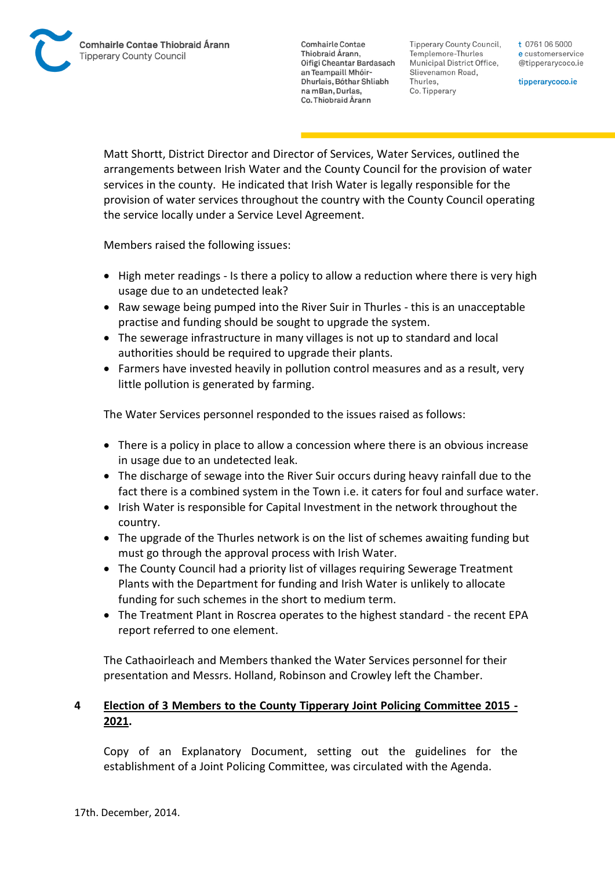Tipperary County Council. Templemore-Thurles Municipal District Office, Slievenamon Road, Thurles, Co. Tipperary

t 0761 06 5000 e customerservice @tipperarycoco.ie

tipperarycoco.ie

Matt Shortt, District Director and Director of Services, Water Services, outlined the arrangements between Irish Water and the County Council for the provision of water services in the county. He indicated that Irish Water is legally responsible for the provision of water services throughout the country with the County Council operating the service locally under a Service Level Agreement.

Members raised the following issues:

- High meter readings Is there a policy to allow a reduction where there is very high usage due to an undetected leak?
- Raw sewage being pumped into the River Suir in Thurles this is an unacceptable practise and funding should be sought to upgrade the system.
- The sewerage infrastructure in many villages is not up to standard and local authorities should be required to upgrade their plants.
- Farmers have invested heavily in pollution control measures and as a result, very little pollution is generated by farming.

The Water Services personnel responded to the issues raised as follows:

- There is a policy in place to allow a concession where there is an obvious increase in usage due to an undetected leak.
- The discharge of sewage into the River Suir occurs during heavy rainfall due to the fact there is a combined system in the Town i.e. it caters for foul and surface water.
- Irish Water is responsible for Capital Investment in the network throughout the country.
- The upgrade of the Thurles network is on the list of schemes awaiting funding but must go through the approval process with Irish Water.
- The County Council had a priority list of villages requiring Sewerage Treatment Plants with the Department for funding and Irish Water is unlikely to allocate funding for such schemes in the short to medium term.
- The Treatment Plant in Roscrea operates to the highest standard the recent EPA report referred to one element.

The Cathaoirleach and Members thanked the Water Services personnel for their presentation and Messrs. Holland, Robinson and Crowley left the Chamber.

## **4 Election of 3 Members to the County Tipperary Joint Policing Committee 2015 - 2021.**

Copy of an Explanatory Document, setting out the guidelines for the establishment of a Joint Policing Committee, was circulated with the Agenda.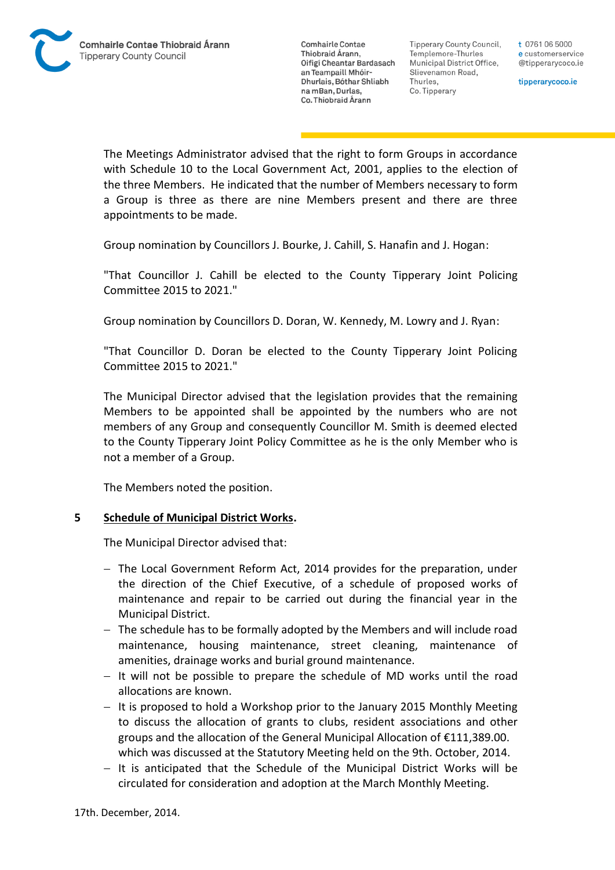Tipperary County Council. Templemore-Thurles Municipal District Office, Slievenamon Road, Thurles, Co. Tipperary

t 0761 06 5000 e customerservice @tipperarycoco.ie

tipperarycoco.ie

The Meetings Administrator advised that the right to form Groups in accordance with Schedule 10 to the Local Government Act, 2001, applies to the election of the three Members. He indicated that the number of Members necessary to form a Group is three as there are nine Members present and there are three appointments to be made.

Group nomination by Councillors J. Bourke, J. Cahill, S. Hanafin and J. Hogan:

"That Councillor J. Cahill be elected to the County Tipperary Joint Policing Committee 2015 to 2021."

Group nomination by Councillors D. Doran, W. Kennedy, M. Lowry and J. Ryan:

"That Councillor D. Doran be elected to the County Tipperary Joint Policing Committee 2015 to 2021."

The Municipal Director advised that the legislation provides that the remaining Members to be appointed shall be appointed by the numbers who are not members of any Group and consequently Councillor M. Smith is deemed elected to the County Tipperary Joint Policy Committee as he is the only Member who is not a member of a Group.

The Members noted the position.

#### **5 Schedule of Municipal District Works.**

The Municipal Director advised that:

- The Local Government Reform Act, 2014 provides for the preparation, under the direction of the Chief Executive, of a schedule of proposed works of maintenance and repair to be carried out during the financial year in the Municipal District.
- The schedule has to be formally adopted by the Members and will include road maintenance, housing maintenance, street cleaning, maintenance of amenities, drainage works and burial ground maintenance.
- $-$  It will not be possible to prepare the schedule of MD works until the road allocations are known.
- It is proposed to hold a Workshop prior to the January 2015 Monthly Meeting to discuss the allocation of grants to clubs, resident associations and other groups and the allocation of the General Municipal Allocation of €111,389.00. which was discussed at the Statutory Meeting held on the 9th. October, 2014.
- $-$  It is anticipated that the Schedule of the Municipal District Works will be circulated for consideration and adoption at the March Monthly Meeting.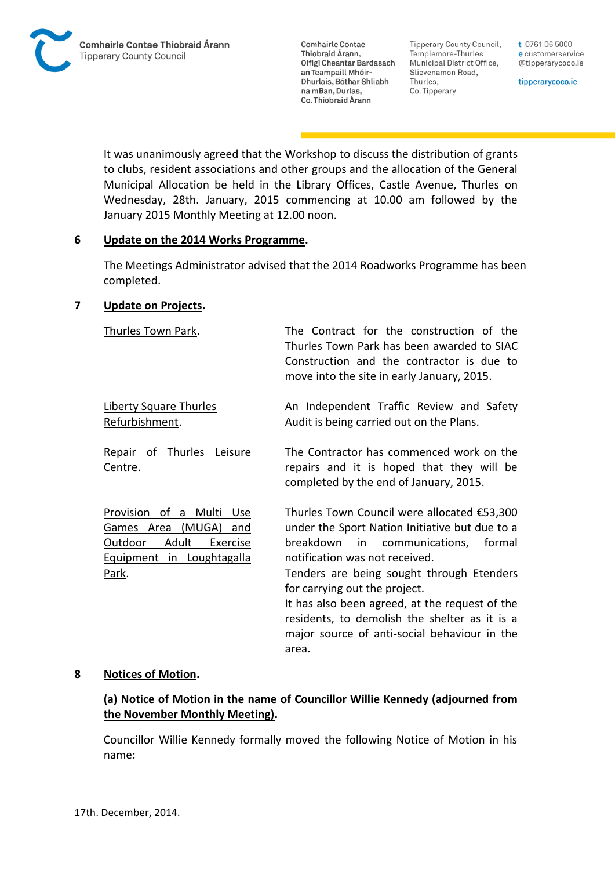Tipperary County Council, Templemore-Thurles Municipal District Office, Slievenamon Road, Thurles, Co. Tipperary

t 0761 06 5000 e customerservice @tipperarycoco.ie

tipperarycoco.ie

It was unanimously agreed that the Workshop to discuss the distribution of grants to clubs, resident associations and other groups and the allocation of the General Municipal Allocation be held in the Library Offices, Castle Avenue, Thurles on Wednesday, 28th. January, 2015 commencing at 10.00 am followed by the January 2015 Monthly Meeting at 12.00 noon.

### **6 Update on the 2014 Works Programme.**

The Meetings Administrator advised that the 2014 Roadworks Programme has been completed.

## **7 Update on Projects.**

| Thurles Town Park.                                                                                                                             | The Contract for the construction of the<br>Thurles Town Park has been awarded to SIAC<br>Construction and the contractor is due to<br>move into the site in early January, 2015.                                                                                                                                                                                                                                      |
|------------------------------------------------------------------------------------------------------------------------------------------------|------------------------------------------------------------------------------------------------------------------------------------------------------------------------------------------------------------------------------------------------------------------------------------------------------------------------------------------------------------------------------------------------------------------------|
| <b>Liberty Square Thurles</b><br>Refurbishment.                                                                                                | An Independent Traffic Review and Safety<br>Audit is being carried out on the Plans.                                                                                                                                                                                                                                                                                                                                   |
| Repair of Thurles Leisure<br>Centre.                                                                                                           | The Contractor has commenced work on the<br>repairs and it is hoped that they will be<br>completed by the end of January, 2015.                                                                                                                                                                                                                                                                                        |
| Provision of a Multi<br><b>Use</b><br>(MUGA)<br>Games Area<br>and<br><u>Outdoor</u><br>Adult<br>Exercise<br>Equipment in Loughtagalla<br>Park. | Thurles Town Council were allocated €53,300<br>under the Sport Nation Initiative but due to a<br>breakdown<br>in communications,<br>formal<br>notification was not received.<br>Tenders are being sought through Etenders<br>for carrying out the project.<br>It has also been agreed, at the request of the<br>residents, to demolish the shelter as it is a<br>major source of anti-social behaviour in the<br>area. |

### **8 Notices of Motion.**

## **(a) Notice of Motion in the name of Councillor Willie Kennedy (adjourned from the November Monthly Meeting).**

Councillor Willie Kennedy formally moved the following Notice of Motion in his name: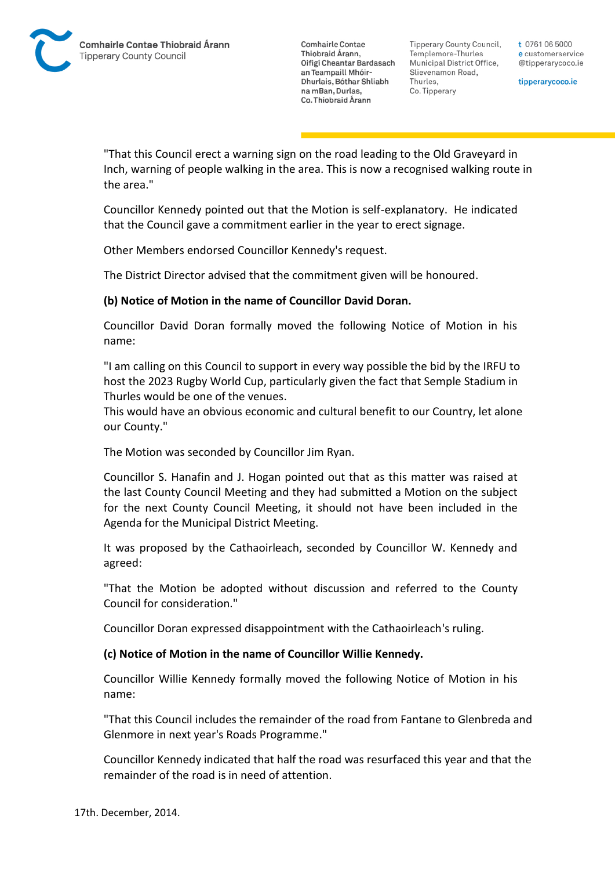Tipperary County Council. Templemore-Thurles Municipal District Office, Slievenamon Road, Thurles, Co. Tipperary

t 0761 06 5000 e customerservice @tipperarycoco.ie

tipperarycoco.ie

"That this Council erect a warning sign on the road leading to the Old Graveyard in Inch, warning of people walking in the area. This is now a recognised walking route in the area."

Councillor Kennedy pointed out that the Motion is self-explanatory. He indicated that the Council gave a commitment earlier in the year to erect signage.

Other Members endorsed Councillor Kennedy's request.

The District Director advised that the commitment given will be honoured.

## **(b) Notice of Motion in the name of Councillor David Doran.**

Councillor David Doran formally moved the following Notice of Motion in his name:

"I am calling on this Council to support in every way possible the bid by the IRFU to host the 2023 Rugby World Cup, particularly given the fact that Semple Stadium in Thurles would be one of the venues.

This would have an obvious economic and cultural benefit to our Country, let alone our County."

The Motion was seconded by Councillor Jim Ryan.

Councillor S. Hanafin and J. Hogan pointed out that as this matter was raised at the last County Council Meeting and they had submitted a Motion on the subject for the next County Council Meeting, it should not have been included in the Agenda for the Municipal District Meeting.

It was proposed by the Cathaoirleach, seconded by Councillor W. Kennedy and agreed:

"That the Motion be adopted without discussion and referred to the County Council for consideration."

Councillor Doran expressed disappointment with the Cathaoirleach's ruling.

### **(c) Notice of Motion in the name of Councillor Willie Kennedy.**

Councillor Willie Kennedy formally moved the following Notice of Motion in his name:

"That this Council includes the remainder of the road from Fantane to Glenbreda and Glenmore in next year's Roads Programme."

Councillor Kennedy indicated that half the road was resurfaced this year and that the remainder of the road is in need of attention.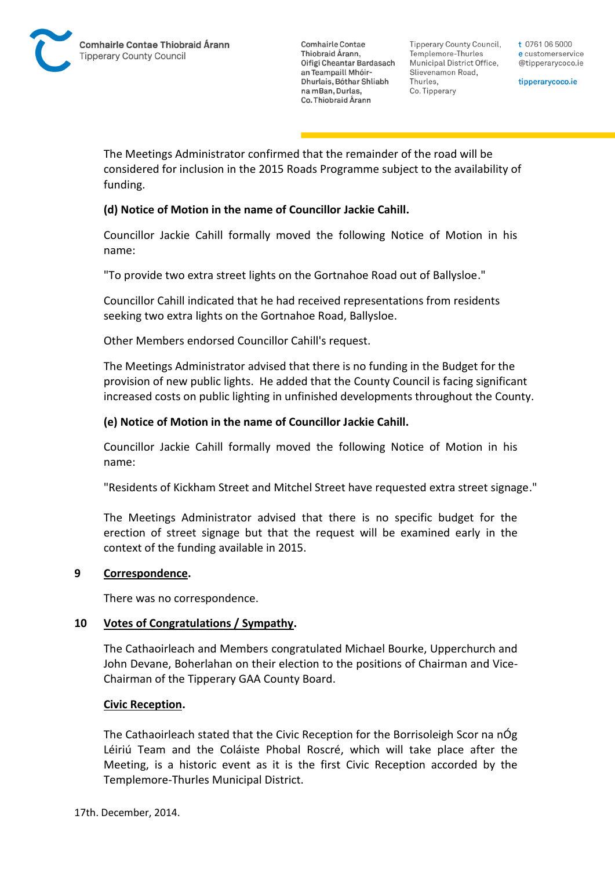Tipperary County Council. Templemore-Thurles Municipal District Office, Slievenamon Road, Thurles, Co. Tipperary

t 0761 06 5000 e customerservice @tipperarycoco.ie

tipperarycoco.ie

The Meetings Administrator confirmed that the remainder of the road will be considered for inclusion in the 2015 Roads Programme subject to the availability of funding.

## **(d) Notice of Motion in the name of Councillor Jackie Cahill.**

Councillor Jackie Cahill formally moved the following Notice of Motion in his name:

"To provide two extra street lights on the Gortnahoe Road out of Ballysloe."

Councillor Cahill indicated that he had received representations from residents seeking two extra lights on the Gortnahoe Road, Ballysloe.

Other Members endorsed Councillor Cahill's request.

The Meetings Administrator advised that there is no funding in the Budget for the provision of new public lights. He added that the County Council is facing significant increased costs on public lighting in unfinished developments throughout the County.

## **(e) Notice of Motion in the name of Councillor Jackie Cahill.**

Councillor Jackie Cahill formally moved the following Notice of Motion in his name:

"Residents of Kickham Street and Mitchel Street have requested extra street signage."

The Meetings Administrator advised that there is no specific budget for the erection of street signage but that the request will be examined early in the context of the funding available in 2015.

### **9 Correspondence.**

There was no correspondence.

### **10 Votes of Congratulations / Sympathy.**

The Cathaoirleach and Members congratulated Michael Bourke, Upperchurch and John Devane, Boherlahan on their election to the positions of Chairman and Vice-Chairman of the Tipperary GAA County Board.

### **Civic Reception.**

The Cathaoirleach stated that the Civic Reception for the Borrisoleigh Scor na nÓg Léiriú Team and the Coláiste Phobal Roscré, which will take place after the Meeting, is a historic event as it is the first Civic Reception accorded by the Templemore-Thurles Municipal District.